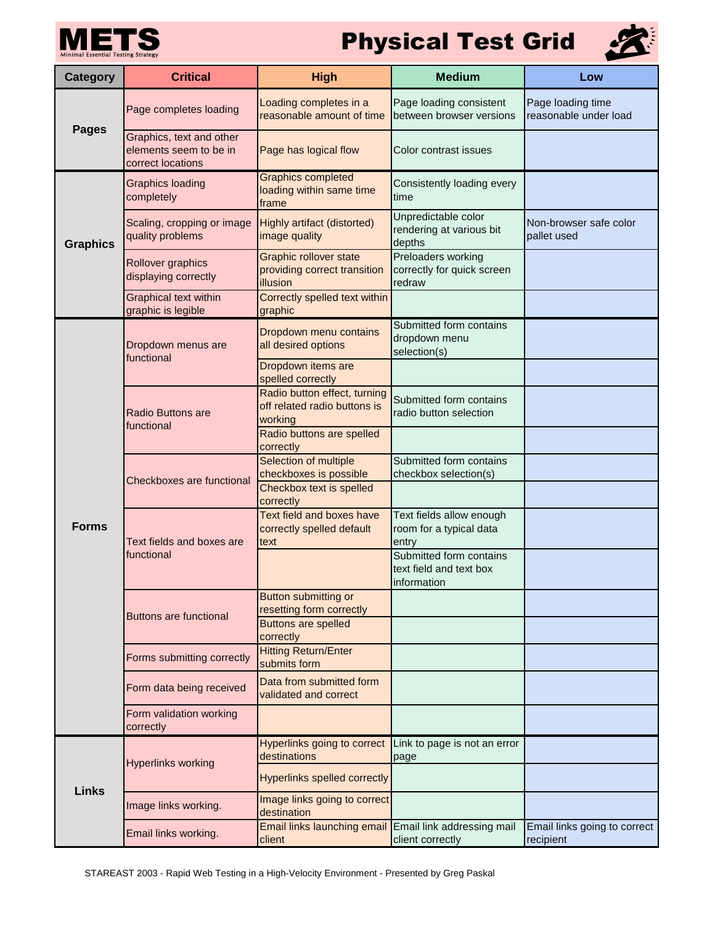

## **Physical Test Grid**



| <b>Category</b> | <b>Critical</b>                                                         | <b>High</b>                                                                 | <b>Medium</b>                                                     | Low                                        |
|-----------------|-------------------------------------------------------------------------|-----------------------------------------------------------------------------|-------------------------------------------------------------------|--------------------------------------------|
| <b>Pages</b>    | Page completes loading                                                  | Loading completes in a<br>reasonable amount of time                         | Page loading consistent<br>between browser versions               | Page loading time<br>reasonable under load |
|                 | Graphics, text and other<br>elements seem to be in<br>correct locations | Page has logical flow                                                       | Color contrast issues                                             |                                            |
| <b>Graphics</b> | <b>Graphics loading</b><br>completely                                   | <b>Graphics completed</b><br>loading within same time<br>frame              | Consistently loading every<br>time                                |                                            |
|                 | Scaling, cropping or image<br>quality problems                          | Highly artifact (distorted)<br>image quality                                | Unpredictable color<br>rendering at various bit<br>depths         | Non-browser safe color<br>pallet used      |
|                 | Rollover graphics<br>displaying correctly                               | <b>Graphic rollover state</b><br>providing correct transition<br>illusion   | Preloaders working<br>correctly for quick screen<br>redraw        |                                            |
|                 | <b>Graphical text within</b><br>graphic is legible                      | Correctly spelled text within<br>graphic                                    |                                                                   |                                            |
| <b>Forms</b>    | Dropdown menus are<br>functional                                        | Dropdown menu contains<br>all desired options                               | Submitted form contains<br>dropdown menu<br>selection(s)          |                                            |
|                 |                                                                         | Dropdown items are<br>spelled correctly                                     |                                                                   |                                            |
|                 | <b>Radio Buttons are</b><br>functional                                  | Radio button effect, turning<br>off related radio buttons is<br>working     | Submitted form contains<br>radio button selection                 |                                            |
|                 |                                                                         | Radio buttons are spelled<br>correctly                                      |                                                                   |                                            |
|                 | Checkboxes are functional                                               | Selection of multiple<br>checkboxes is possible<br>Checkbox text is spelled | Submitted form contains<br>checkbox selection(s)                  |                                            |
|                 | Text fields and boxes are<br>functional                                 | correctly<br>Text field and boxes have                                      | Text fields allow enough                                          |                                            |
|                 |                                                                         | correctly spelled default<br>text                                           | room for a typical data<br>entry                                  |                                            |
|                 |                                                                         |                                                                             | Submitted form contains<br>text field and text box<br>information |                                            |
|                 | <b>Buttons are functional</b>                                           | Button submitting or<br>resetting form correctly                            |                                                                   |                                            |
|                 |                                                                         | <b>Buttons are spelled</b><br>correctly                                     |                                                                   |                                            |
|                 | Forms submitting correctly                                              | <b>Hitting Return/Enter</b><br>submits form                                 |                                                                   |                                            |
|                 | Form data being received                                                | Data from submitted form<br>validated and correct                           |                                                                   |                                            |
|                 | Form validation working<br>correctly                                    |                                                                             |                                                                   |                                            |
| <b>Links</b>    | <b>Hyperlinks working</b>                                               | Hyperlinks going to correct<br>destinations                                 | Link to page is not an error<br>page                              |                                            |
|                 |                                                                         | <b>Hyperlinks spelled correctly</b>                                         |                                                                   |                                            |
|                 | Image links working.                                                    | Image links going to correct<br>destination                                 |                                                                   |                                            |
|                 | Email links working.                                                    | Email links launching email Email link addressing mail<br>client            | client correctly                                                  | Email links going to correct<br>recipient  |